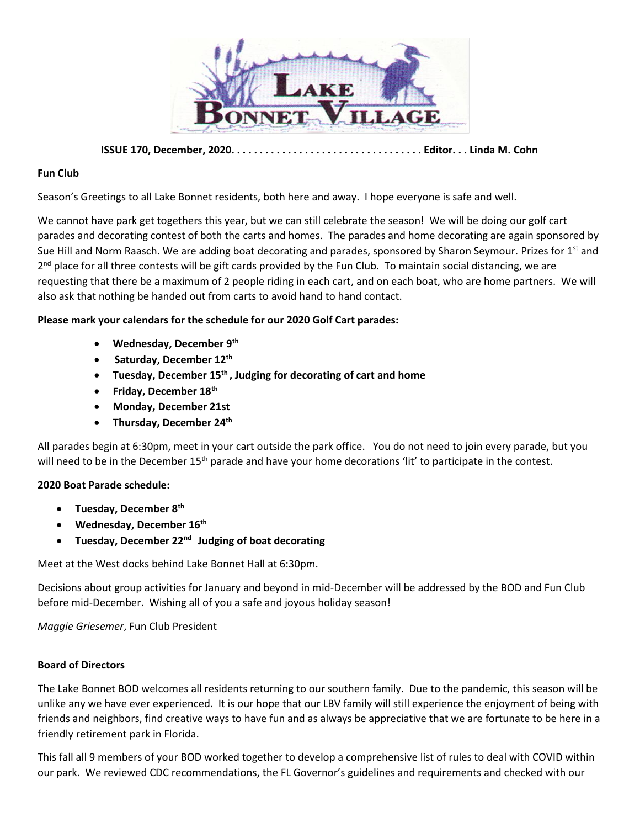

**ISSUE 170, December, 2020. . . . . . . . . . . . . . . . . . . . . . . . . . . . . . . . . . Editor. . . Linda M. Cohn**

## **Fun Club**

Season's Greetings to all Lake Bonnet residents, both here and away. I hope everyone is safe and well.

We cannot have park get togethers this year, but we can still celebrate the season! We will be doing our golf cart parades and decorating contest of both the carts and homes. The parades and home decorating are again sponsored by Sue Hill and Norm Raasch. We are adding boat decorating and parades, sponsored by Sharon Seymour. Prizes for 1<sup>st</sup> and 2<sup>nd</sup> place for all three contests will be gift cards provided by the Fun Club. To maintain social distancing, we are requesting that there be a maximum of 2 people riding in each cart, and on each boat, who are home partners. We will also ask that nothing be handed out from carts to avoid hand to hand contact.

## **Please mark your calendars for the schedule for our 2020 Golf Cart parades:**

- **Wednesday, December 9th**
- **Saturday, December 12th**
- **Tuesday, December 15th , Judging for decorating of cart and home**
- **Friday, December 18th**
- **Monday, December 21st**
- **Thursday, December 24th**

All parades begin at 6:30pm, meet in your cart outside the park office. You do not need to join every parade, but you will need to be in the December 15<sup>th</sup> parade and have your home decorations 'lit' to participate in the contest.

## **2020 Boat Parade schedule:**

- **Tuesday, December 8th**
- **Wednesday, December 16th**
- **Tuesday, December 22nd Judging of boat decorating**

Meet at the West docks behind Lake Bonnet Hall at 6:30pm.

Decisions about group activities for January and beyond in mid-December will be addressed by the BOD and Fun Club before mid-December. Wishing all of you a safe and joyous holiday season!

*Maggie Griesemer*, Fun Club President

#### **Board of Directors**

The Lake Bonnet BOD welcomes all residents returning to our southern family. Due to the pandemic, this season will be unlike any we have ever experienced. It is our hope that our LBV family will still experience the enjoyment of being with friends and neighbors, find creative ways to have fun and as always be appreciative that we are fortunate to be here in a friendly retirement park in Florida.

This fall all 9 members of your BOD worked together to develop a comprehensive list of rules to deal with COVID within our park. We reviewed CDC recommendations, the FL Governor's guidelines and requirements and checked with our